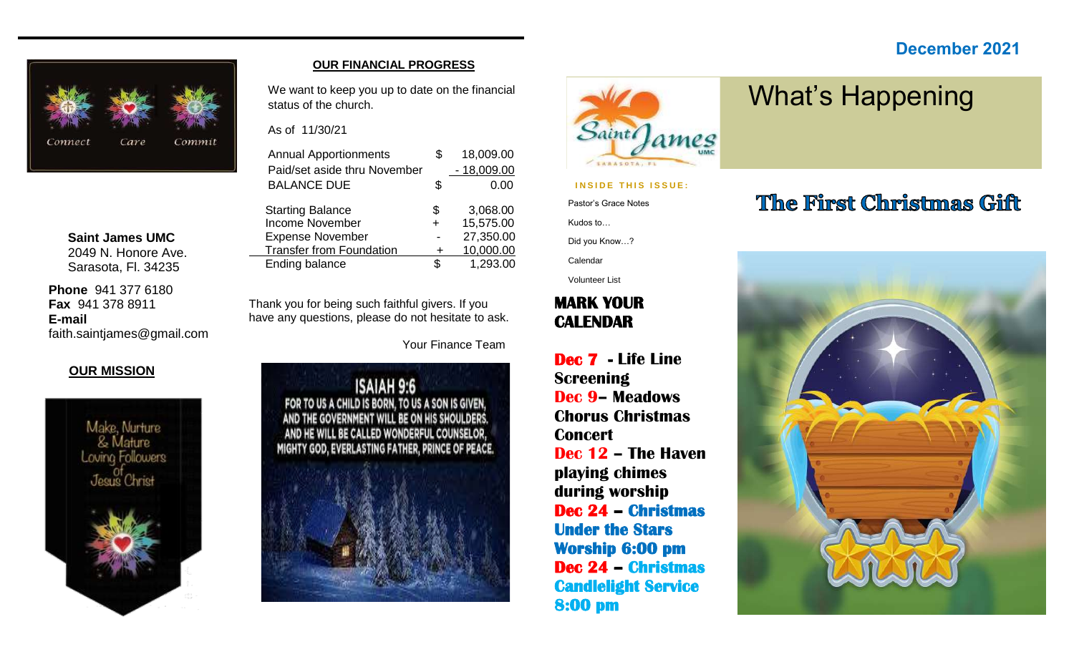#### **December 2021**



**Saint James UMC** 2049 N. Honore Ave. Sarasota, Fl. 34235

**Phone** 941 377 6180 **Fax** 941 378 8911 **E-mail** faith.saintjames@gmail.com

#### **OUR MISSION**



#### **OUR FINANCIAL PROGRESS**

We want to keep you up to date on the financial status of the church.

As of 11/30/21

| <b>Annual Apportionments</b>    |     | 18,009.00    |
|---------------------------------|-----|--------------|
| Paid/set aside thru November    |     | $-18,009.00$ |
| <b>BALANCE DUE</b>              | \$  | 0.00         |
| <b>Starting Balance</b>         | \$  | 3,068.00     |
| <b>Income November</b>          | +   | 15,575.00    |
| <b>Expense November</b>         |     | 27,350.00    |
| <b>Transfer from Foundation</b> | +   | 10,000.00    |
| Ending balance                  | \$. | 1,293.00     |

Thank you for being such faithful givers. If you have any questions, please do not hesitate to ask.

Your Finance Team





#### **INSIDE THIS ISSUE:**

Pastor's Grace Notes

Kudos to…

Did you Know…?

Calendar

Volunteer List

#### **MARK YOUR CALENDAR**

**Dec 7 - Life Line Screening Dec 9– Meadows Chorus Christmas Concert Dec 12 – The Haven playing chimes during worship Dec 24 – Christmas Under the Stars Worship 6:00 pm Dec 24 – Christmas Candlelight Service 8:00 pm** 

## The First Christmas Gift

What's Happening

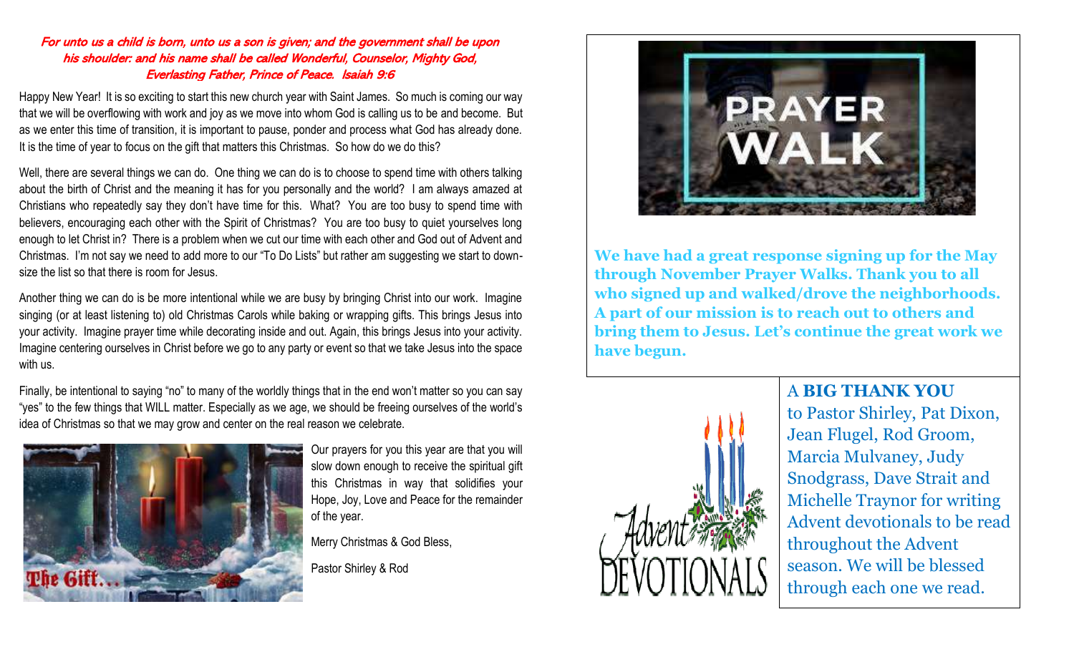#### For unto us a child is born, unto us a son is given; and the government shall be upon his shoulder: and his name shall be called Wonderful, Counselor, Mighty God, Everlasting Father, Prince of Peace. Isaiah 9:6

Happy New Year! It is so exciting to start this new church year with Saint James. So much is coming our way that we will be overflowing with work and joy as we move into whom God is calling us to be and become. But as we enter this time of transition, it is important to pause, ponder and process what God has already done. It is the time of year to focus on the gift that matters this Christmas. So how do we do this?

Well, there are several things we can do. One thing we can do is to choose to spend time with others talking about the birth of Christ and the meaning it has for you personally and the world? I am always amazed at Christians who repeatedly say they don't have time for this. What? You are too busy to spend time with believers, encouraging each other with the Spirit of Christmas? You are too busy to quiet yourselves long enough to let Christ in? There is a problem when we cut our time with each other and God out of Advent and Christmas. I'm not say we need to add more to our "To Do Lists" but rather am suggesting we start to downsize the list so that there is room for Jesus.

Another thing we can do is be more intentional while we are busy by bringing Christ into our work. Imagine singing (or at least listening to) old Christmas Carols while baking or wrapping gifts. This brings Jesus into your activity. Imagine prayer time while decorating inside and out. Again, this brings Jesus into your activity. Imagine centering ourselves in Christ before we go to any party or event so that we take Jesus into the space with us.

Finally, be intentional to saying "no" to many of the worldly things that in the end won't matter so you can say "yes" to the few things that WILL matter. Especially as we age, we should be freeing ourselves of the world's idea of Christmas so that we may grow and center on the real reason we celebrate.



Our prayers for you this year are that you will slow down enough to receive the spiritual gift this Christmas in way that solidifies your Hope, Joy, Love and Peace for the remainder of the year.

Merry Christmas & God Bless,

Pastor Shirley & Rod



**We have had a great response signing up for the May through November Prayer Walks. Thank you to all who signed up and walked/drove the neighborhoods. A part of our mission is to reach out to others and bring them to Jesus. Let's continue the great work we have begun.**



#### A **BIG THANK YOU**

to Pastor Shirley, Pat Dixon, Jean Flugel, Rod Groom, Marcia Mulvaney, Judy Snodgrass, Dave Strait and Michelle Traynor for writing Advent devotionals to be read throughout the Advent season. We will be blessed through each one we read.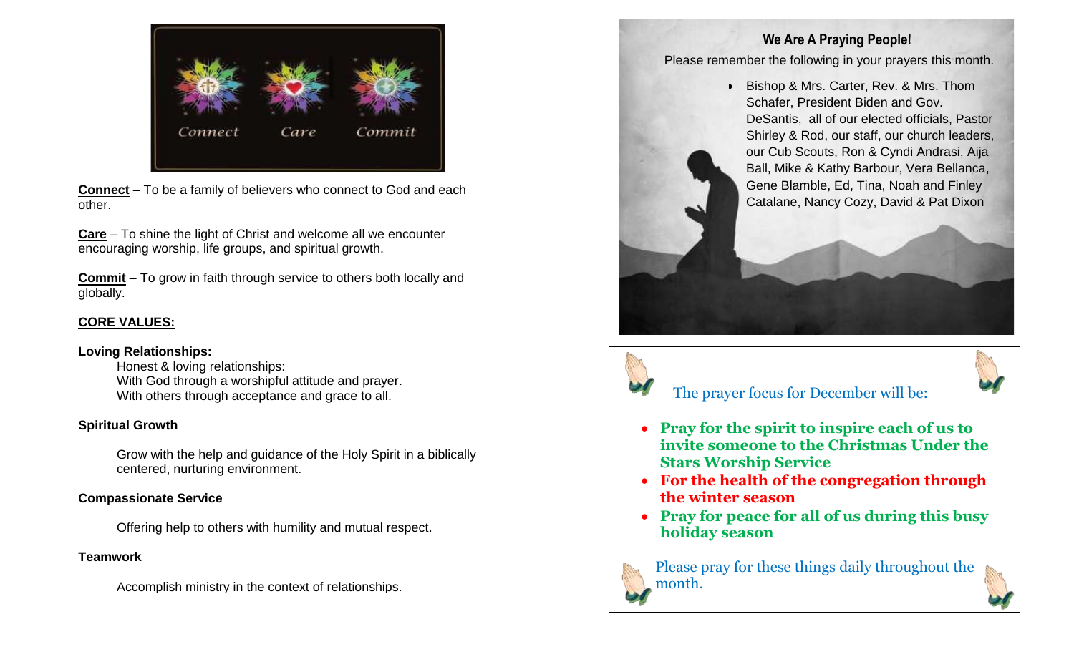

**Connect** – To be a family of believers who connect to God and each other.

**Care** – To shine the light of Christ and welcome all we encounter encouraging worship, life groups, and spiritual growth.

**Commit** – To grow in faith through service to others both locally and globally.

#### **CORE VALUES:**

#### **Loving Relationships:**

Honest & loving relationships: With God through a worshipful attitude and prayer. With others through acceptance and grace to all.

#### **Spiritual Growth**

Grow with the help and guidance of the Holy Spirit in a biblically centered, nurturing environment.

#### **Compassionate Service**

Offering help to others with humility and mutual respect.

#### **Teamwork**

Accomplish ministry in the context of relationships.

#### **We Are A Praying People!**

Please remember the following in your prayers this month.

• Bishop & Mrs. Carter, Rev. & Mrs. Thom Schafer, President Biden and Gov. DeSantis, all of our elected officials, Pastor Shirley & Rod, our staff, our church leaders, our Cub Scouts, Ron & Cyndi Andrasi, Aija Ball, Mike & Kathy Barbour, Vera Bellanca, Gene Blamble, Ed, Tina, Noah and Finley Catalane, Nancy Cozy, David & Pat Dixon



#### The prayer focus for December will be:

- **Pray for the spirit to inspire each of us to invite someone to the Christmas Under the Stars Worship Service**
- **For the health of the congregation through the winter season**
- **Pray for peace for all of us during this busy holiday season**



Please pray for these things daily throughout the month.

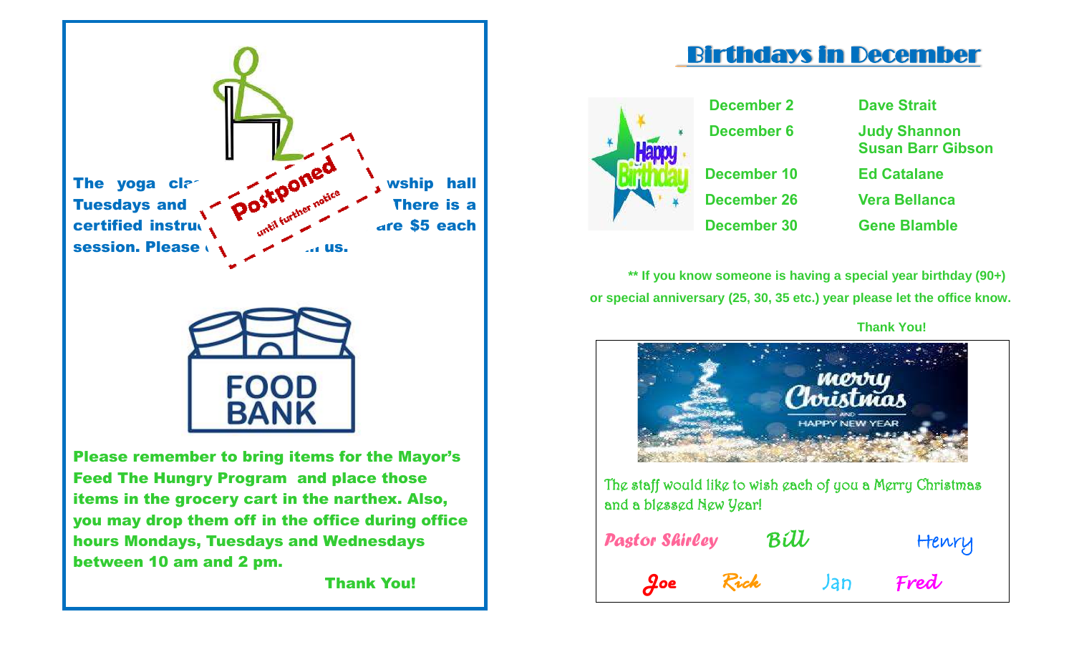

you may drop them off in the office during office hours Mondays, Tuesdays and Wednesdays between 10 am and 2 pm.

Thank You!

## Birthdays in December



**December 2 Dave Strait December 6 Judy Shannon Susan Barr Gibson December 10 Ed Catalane December 26 Vera Bellanca December 30 Gene Blamble**

**\*\* If you know someone is having a special year birthday (90+) or special anniversary (25, 30, 35 etc.) year please let the office know.** 

 **Thank You!** 



The staff would like to wish each of you a Merry Christmas and a blessed New Year!

| <b>Pastor Shirley</b> | Bill |  | Henry |      |
|-----------------------|------|--|-------|------|
| $\partial$ oe         | Rick |  | Jan   | Fred |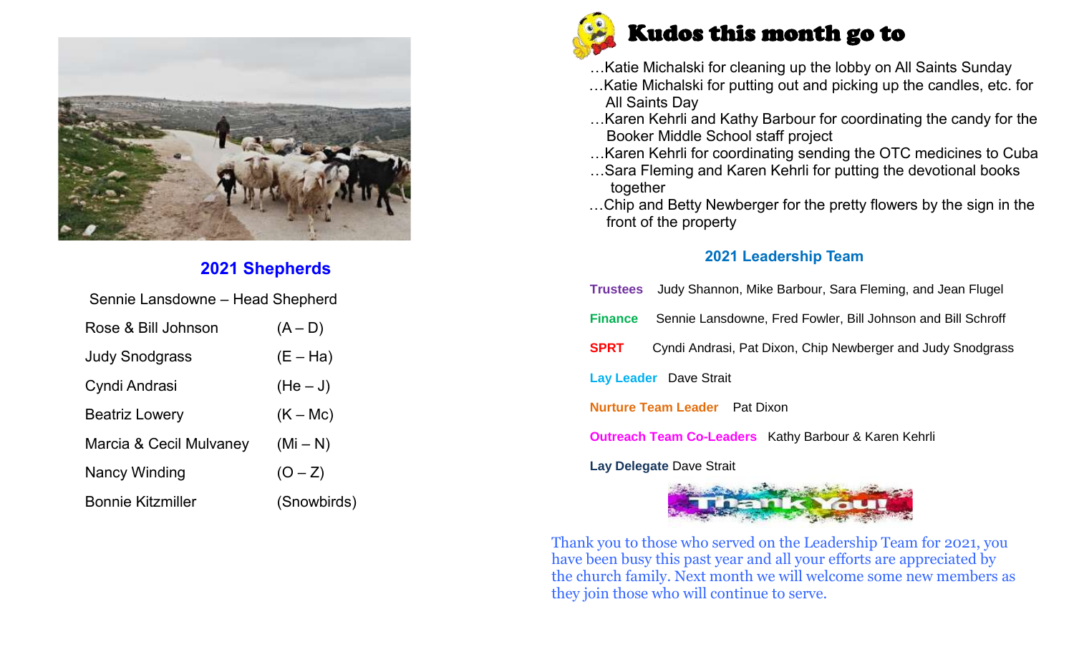

#### **2021 Shepherds**

| Sennie Lansdowne - Head Shepherd |             |  |  |  |  |  |  |
|----------------------------------|-------------|--|--|--|--|--|--|
| Rose & Bill Johnson              | $(A - D)$   |  |  |  |  |  |  |
| <b>Judy Snodgrass</b>            | $(E - Ha)$  |  |  |  |  |  |  |
| Cyndi Andrasi                    | $(He-J)$    |  |  |  |  |  |  |
| <b>Beatriz Lowery</b>            | $(K - Mc)$  |  |  |  |  |  |  |
| Marcia & Cecil Mulvaney          | $(Mi - N)$  |  |  |  |  |  |  |
| Nancy Winding                    | $(O - Z)$   |  |  |  |  |  |  |
| <b>Bonnie Kitzmiller</b>         | (Snowbirds) |  |  |  |  |  |  |



- …Katie Michalski for cleaning up the lobby on All Saints Sunday
- …Katie Michalski for putting out and picking up the candles, etc. for All Saints Day
- …Karen Kehrli and Kathy Barbour for coordinating the candy for the Booker Middle School staff project
- …Karen Kehrli for coordinating sending the OTC medicines to Cuba
- …Sara Fleming and Karen Kehrli for putting the devotional books together
- …Chip and Betty Newberger for the pretty flowers by the sign in the front of the property

#### **2021 Leadership Team**

**Trustees** Judy Shannon, Mike Barbour, Sara Fleming, and Jean Flugel **Finance** Sennie Lansdowne, Fred Fowler, Bill Johnson and Bill Schroff **SPRT** Cyndi Andrasi, Pat Dixon, Chip Newberger and Judy Snodgrass **Lay Leader** Dave Strait **Nurture Team Leader** Pat Dixon **Outreach Team Co-Leaders** Kathy Barbour & Karen Kehrli

**Lay Delegate** Dave Strait



Thank you to those who served on the Leadership Team for 2021, you have been busy this past year and all your efforts are appreciated by the church family. Next month we will welcome some new members as they join those who will continue to serve.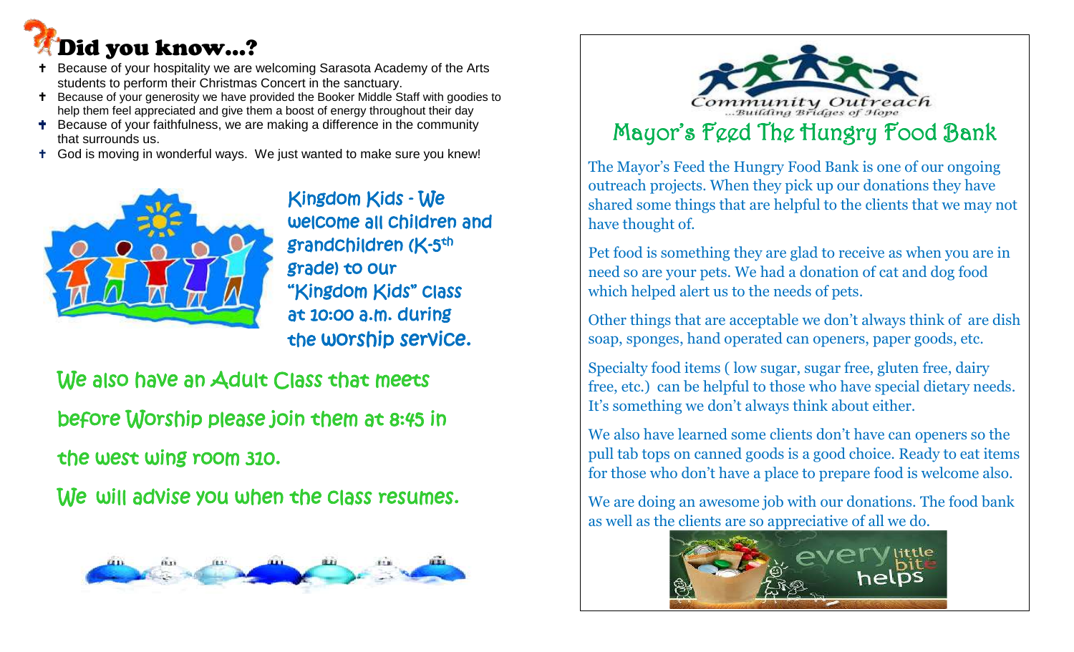# Did you know…?

- Because of your hospitality we are welcoming Sarasota Academy of the Arts students to perform their Christmas Concert in the sanctuary.
- <sup>+</sup> Because of your generosity we have provided the Booker Middle Staff with goodies to help them feel appreciated and give them a boost of energy throughout their day
- **T** Because of your faithfulness, we are making a difference in the community that surrounds us.
- God is moving in wonderful ways. We just wanted to make sure you knew!



 Kingdom Kids - We welcome all children and grade) to our "Kingdom Kids" class at 10:00 a.m. during the worship service.

We also have an Adult Class that meets before Worship please join them at 8:45 in the west wing room 310.

We will advise you when the class resumes.





The Mayor's Feed the Hungry Food Bank is one of our ongoing outreach projects. When they pick up our donations they have shared some things that are helpful to the clients that we may not have thought of.

Pet food is something they are glad to receive as when you are in need so are your pets. We had a donation of cat and dog food which helped alert us to the needs of pets.

Other things that are acceptable we don't always think of are dish soap, sponges, hand operated can openers, paper goods, etc.

Specialty food items ( low sugar, sugar free, gluten free, dairy free, etc.) can be helpful to those who have special dietary needs. It's something we don't always think about either.

We also have learned some clients don't have can openers so the pull tab tops on canned goods is a good choice. Ready to eat items for those who don't have a place to prepare food is welcome also.

We are doing an awesome job with our donations. The food bank as well as the clients are so appreciative of all we do.

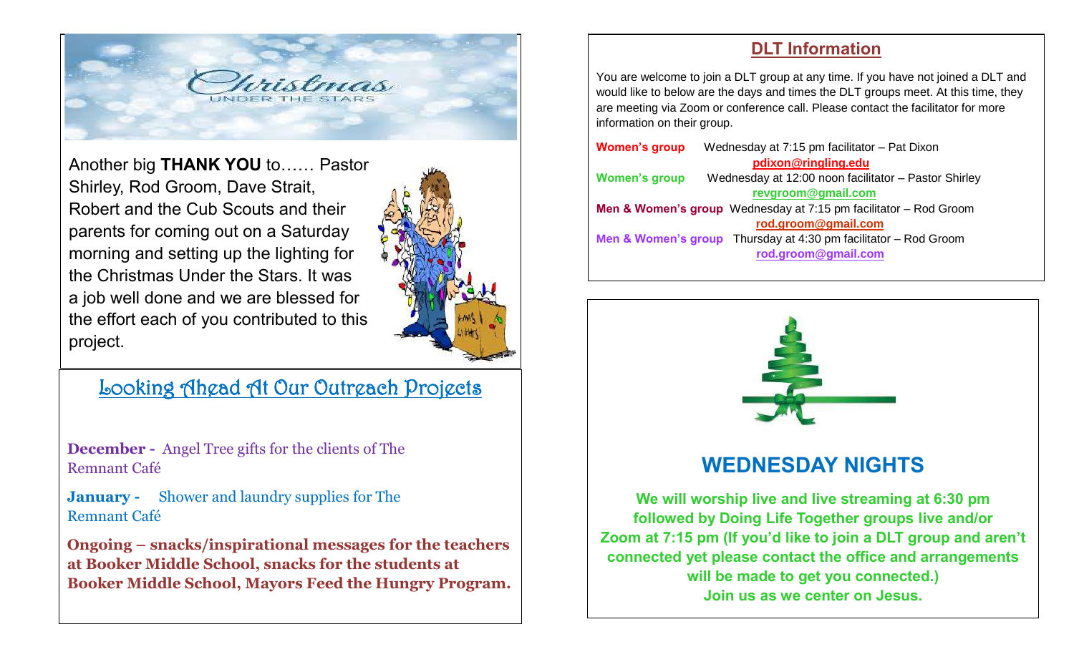

Another big **THANK YOU** to…… Pastor Shirley, Rod Groom, Dave Strait, Robert and the Cub Scouts and their parents for coming out on a Saturday morning and setting up the lighting for the Christmas Under the Stars. It was a job well done and we are blessed for the effort each of you contributed to this project.



## Looking Ahead At Our Outreach Projects

**December -** Angel Tree gifts for the clients of The Remnant Café

**January -** Shower and laundry supplies for The Remnant Café

**Ongoing – snacks/inspirational messages for the teachers at Booker Middle School, snacks for the students at Booker Middle School, Mayors Feed the Hungry Program.** 

#### **DLT Information**

You are welcome to join a DLT group at any time. If you have not joined a DLT and would like to below are the days and times the DLT groups meet. At this time, they are meeting via Zoom or conference call. Please contact the facilitator for more information on their group.

| <b>Women's group</b> | Wednesday at 7:15 pm facilitator - Pat Dixon                                 |  |  |  |  |  |  |
|----------------------|------------------------------------------------------------------------------|--|--|--|--|--|--|
|                      | pdixon@ringling.edu                                                          |  |  |  |  |  |  |
| <b>Women's group</b> | Wednesday at 12:00 noon facilitator - Pastor Shirley                         |  |  |  |  |  |  |
|                      | revgroom@gmail.com                                                           |  |  |  |  |  |  |
|                      | Men & Women's group Wednesday at 7:15 pm facilitator - Rod Groom             |  |  |  |  |  |  |
|                      | rod.groom@gmail.com                                                          |  |  |  |  |  |  |
|                      | <b>Men &amp; Women's group</b> Thursday at 4:30 pm facilitator $-$ Rod Groom |  |  |  |  |  |  |
|                      | rod.groom@gmail.com                                                          |  |  |  |  |  |  |
|                      |                                                                              |  |  |  |  |  |  |



**Zoom at 7:15 pm (If you'd like to join a DLT group and aren't connected yet please contact the office and arrangements will be made to get you connected.) Join us as we center on Jesus.**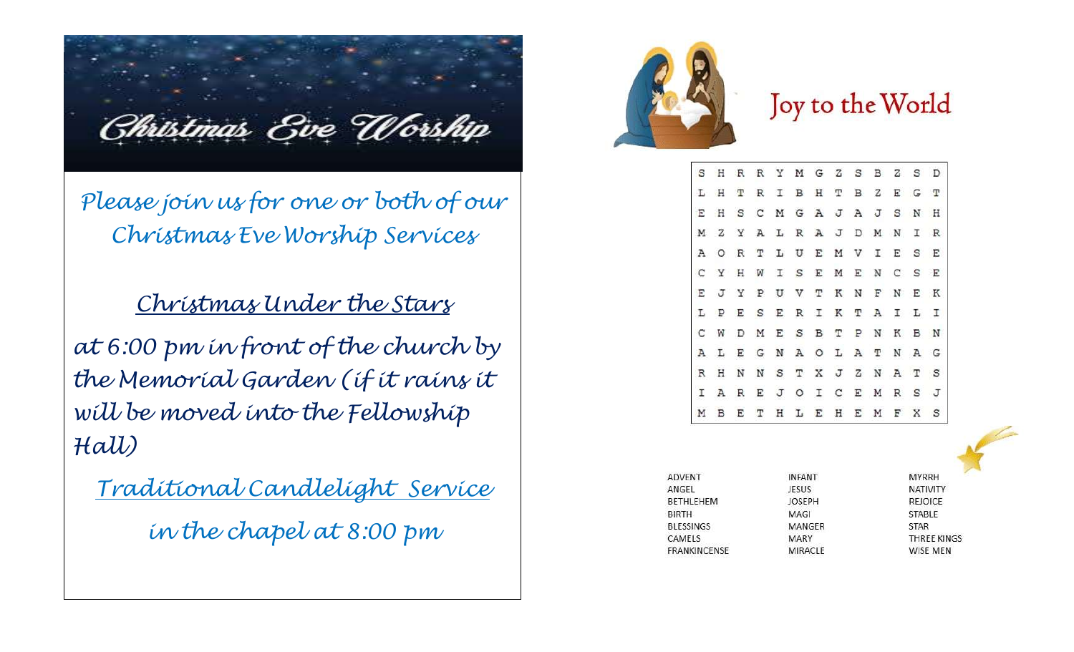Christmas Eve Worship

*Please join us for one or both of our Christmas Eve Worship Services*

*Christmas Under the Stars*

*at 6:00 pm in front of the church by the Memorial Garden (if it rains it will be moved into the Fellowship Hall)* 

*Traditional Candlelight Service in the chapel at 8:00 pm*



## Joy to the World

R R Y M G Z S B Z S D S H TRIBHTBZEGT SCM GAJAJSNH Y A L R A J D M N I R L U E M V I E S E  $T$ I S E M E N Y P U V T K N F N E K SERIKTAILI D M E S B T P N K B N EGNAOLATNAG N N S T X J Z N A T S REJOICEMRSJ M B E T H L E H E M F X S

| ADVENT           | <b>INFANT</b> | <b>MYRRH</b>    |
|------------------|---------------|-----------------|
| ANGEL            | JESUS         | <b>NATIVITY</b> |
| <b>BETHLEHEM</b> | <b>JOSEPH</b> | REJOICE         |
| <b>BIRTH</b>     | MAGI          | <b>STABLE</b>   |
| <b>BLESSINGS</b> | MANGER        | STAR            |
| CAMELS           | MARY          | THREE KINGS     |
| FRANKINCENSE     | MIRACLE       | WISE MEN        |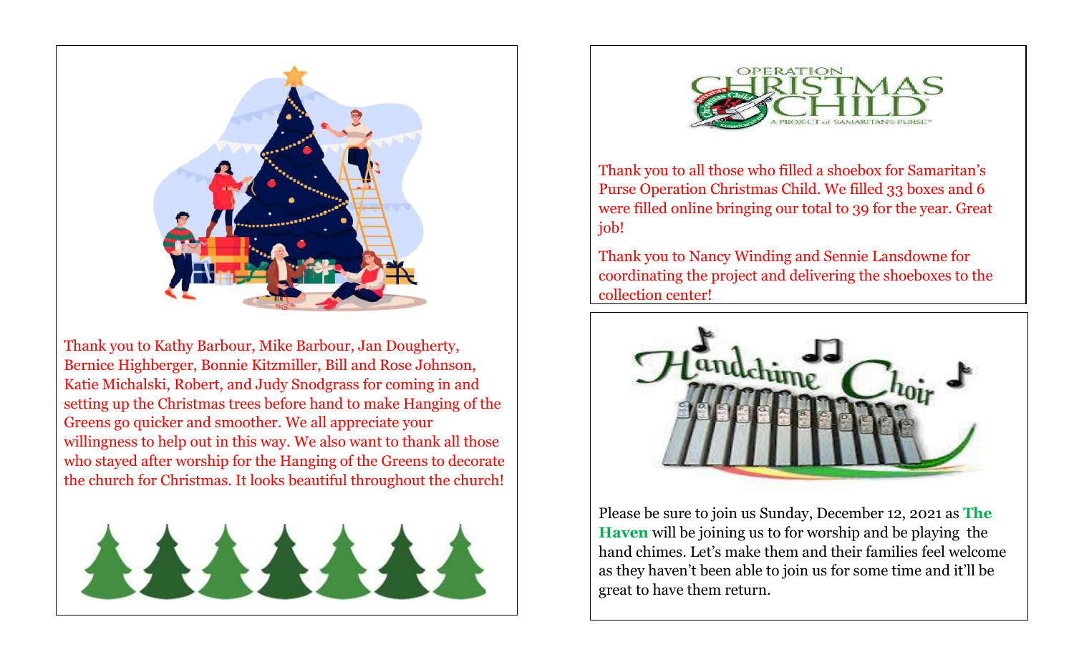

Thank you to Kathy Barbour, Mike Barbour, Jan Dougherty, Bernice Highberger, Bonnie Kitzmiller, Bill and Rose Johnson, Katie Michalski, Robert, and Judy Snodgrass for coming in and setting up the Christmas trees before hand to make Hanging of the Greens go quicker and smoother. We all appreciate your willingness to help out in this way. We also want to thank all those who stayed after worship for the Hanging of the Greens to decorate the church for Christmas. It looks beautiful throughout the church!





Thank you to all those who filled a shoebox for Samaritan's Purse Operation Christmas Child. We filled 33 boxes and 6 were filled online bringing our total to 39 for the year. Great job!

Thank you to Nancy Winding and Sennie Lansdowne for coordinating the project and delivering the shoeboxes to the collection center!



Please be sure to join us Sunday, December 12, 2021 as **The Haven** will be joining us to for worship and be playing the hand chimes. Let's make them and their families feel welcome as they haven't been able to join us for some time and it'll be great to have them return.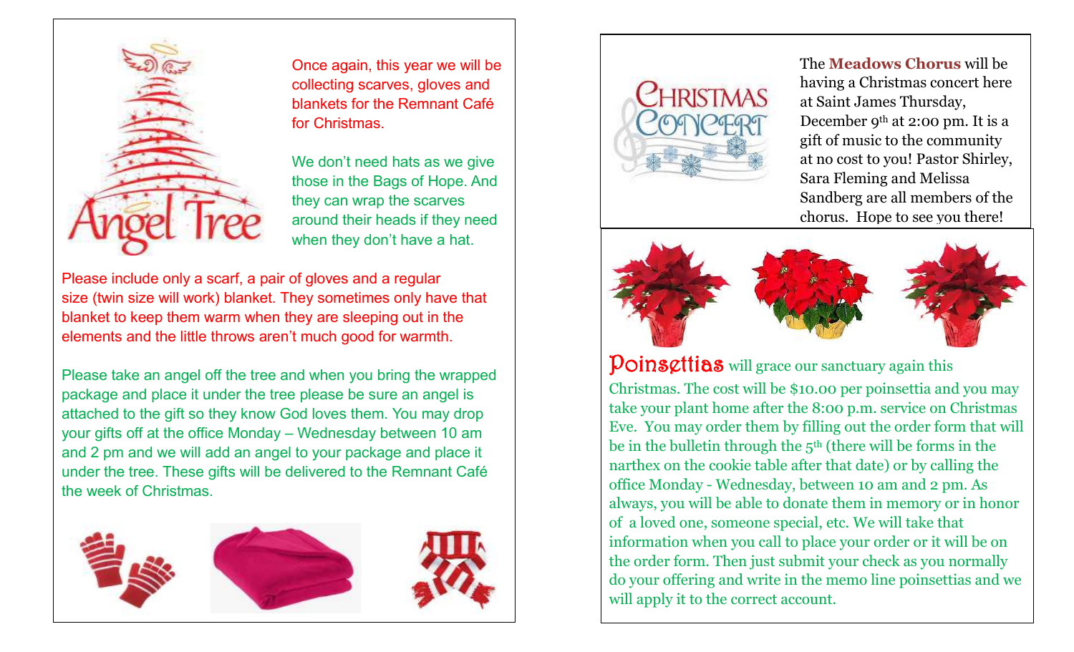

Once again, this year we will be collecting scarves, gloves and blankets for the Remnant Café for Christmas.

We don't need hats as we give those in the Bags of Hope. And they can wrap the scarves around their heads if they need when they don't have a hat.

Please include only a scarf, a pair of gloves and a regular size (twin size will work) blanket. They sometimes only have that blanket to keep them warm when they are sleeping out in the elements and the little throws aren't much good for warmth.

Please take an angel off the tree and when you bring the wrapped package and place it under the tree please be sure an angel is attached to the gift so they know God loves them. You may drop your gifts off at the office Monday – Wednesday between 10 am and 2 pm and we will add an angel to your package and place it under the tree. These gifts will be delivered to the Remnant Café the week of Christmas.





The **Meadows Chorus** will be having a Christmas concert here at Saint James Thursday, December 9th at 2:00 pm. It is a gift of music to the community at no cost to you! Pastor Shirley, Sara Fleming and Melissa Sandberg are all members of the chorus. Hope to see you there!



Poinsettias will grace our sanctuary again this

Christmas. The cost will be \$10.00 per poinsettia and you may take your plant home after the 8:00 p.m. service on Christmas Eve. You may order them by filling out the order form that will be in the bulletin through the  $5<sup>th</sup>$  (there will be forms in the narthex on the cookie table after that date) or by calling the office Monday - Wednesday, between 10 am and 2 pm. As always, you will be able to donate them in memory or in honor of a loved one, someone special, etc. We will take that information when you call to place your order or it will be on the order form. Then just submit your check as you normally do your offering and write in the memo line poinsettias and we will apply it to the correct account.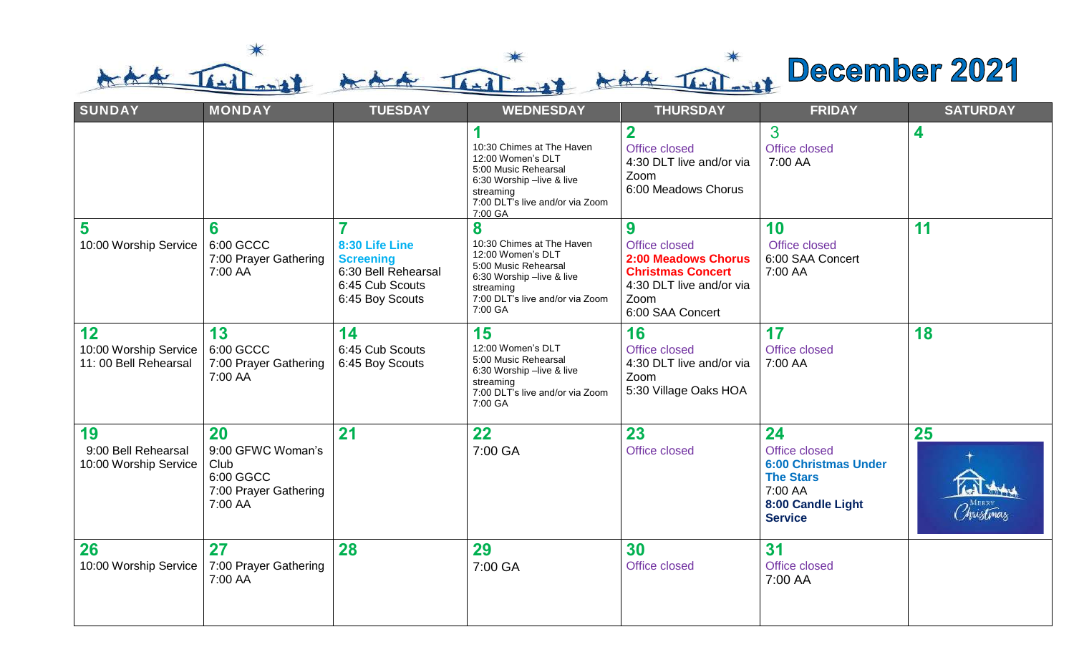that That š

| <b>SUNDAY</b>                                       | <b>MONDAY</b>                                                                    | <b>TUESDAY</b>                                                                                                    | <b>WEDNESDAY</b><br><b>THURSDAY</b>                                                                                                                                 |                                                                                                                               | <b>FRIDAY</b>                                                                                                            | <b>SATURDAY</b>                                        |
|-----------------------------------------------------|----------------------------------------------------------------------------------|-------------------------------------------------------------------------------------------------------------------|---------------------------------------------------------------------------------------------------------------------------------------------------------------------|-------------------------------------------------------------------------------------------------------------------------------|--------------------------------------------------------------------------------------------------------------------------|--------------------------------------------------------|
|                                                     |                                                                                  |                                                                                                                   | 10:30 Chimes at The Haven<br>12:00 Women's DLT<br>5:00 Music Rehearsal<br>6:30 Worship -live & live<br>streaming<br>7:00 DLT's live and/or via Zoom<br>7:00 GA      | $\overline{2}$<br>Office closed<br>4:30 DLT live and/or via<br>Zoom<br>6:00 Meadows Chorus                                    | 3<br>Office closed<br>7:00 AA                                                                                            | 4                                                      |
| 5<br>10:00 Worship Service                          | 6<br>6:00 GCCC<br>7:00 Prayer Gathering<br>7:00 AA                               | $\overline{7}$<br>8:30 Life Line<br><b>Screening</b><br>6:30 Bell Rehearsal<br>6:45 Cub Scouts<br>6:45 Boy Scouts | 8<br>10:30 Chimes at The Haven<br>12:00 Women's DLT<br>5:00 Music Rehearsal<br>6:30 Worship -live & live<br>streaming<br>7:00 DLT's live and/or via Zoom<br>7:00 GA | 9<br>Office closed<br>2:00 Meadows Chorus<br><b>Christmas Concert</b><br>4:30 DLT live and/or via<br>Zoom<br>6:00 SAA Concert | 10<br>Office closed<br>6:00 SAA Concert<br>7:00 AA                                                                       | 11                                                     |
| 12<br>10:00 Worship Service<br>11:00 Bell Rehearsal | 13<br>6:00 GCCC<br>7:00 Prayer Gathering<br>7:00 AA                              | 14<br>6:45 Cub Scouts<br>6:45 Boy Scouts                                                                          | 15<br>12:00 Women's DLT<br>5:00 Music Rehearsal<br>6:30 Worship -live & live<br>streaming<br>7:00 DLT's live and/or via Zoom<br>7:00 GA                             | 16<br>Office closed<br>4:30 DLT live and/or via<br>Zoom<br>5:30 Village Oaks HOA                                              | 17<br>Office closed<br>7:00 AA                                                                                           | 18                                                     |
| 19<br>9:00 Bell Rehearsal<br>10:00 Worship Service  | 20<br>9:00 GFWC Woman's<br>Club<br>6:00 GGCC<br>7:00 Prayer Gathering<br>7:00 AA | 21                                                                                                                | 22<br>7:00 GA                                                                                                                                                       | 23<br>Office closed                                                                                                           | 24<br>Office closed<br><b>6:00 Christmas Under</b><br><b>The Stars</b><br>7:00 AA<br>8:00 Candle Light<br><b>Service</b> | 25<br>6) they<br><b>MERRY</b><br>Christma <sub>s</sub> |
| 26<br>10:00 Worship Service                         | 27<br>7:00 Prayer Gathering<br>7:00 AA                                           | 28                                                                                                                | 29<br>7:00 GA                                                                                                                                                       | 30<br><b>Office closed</b>                                                                                                    | 31<br>Office closed<br>7:00 AA                                                                                           |                                                        |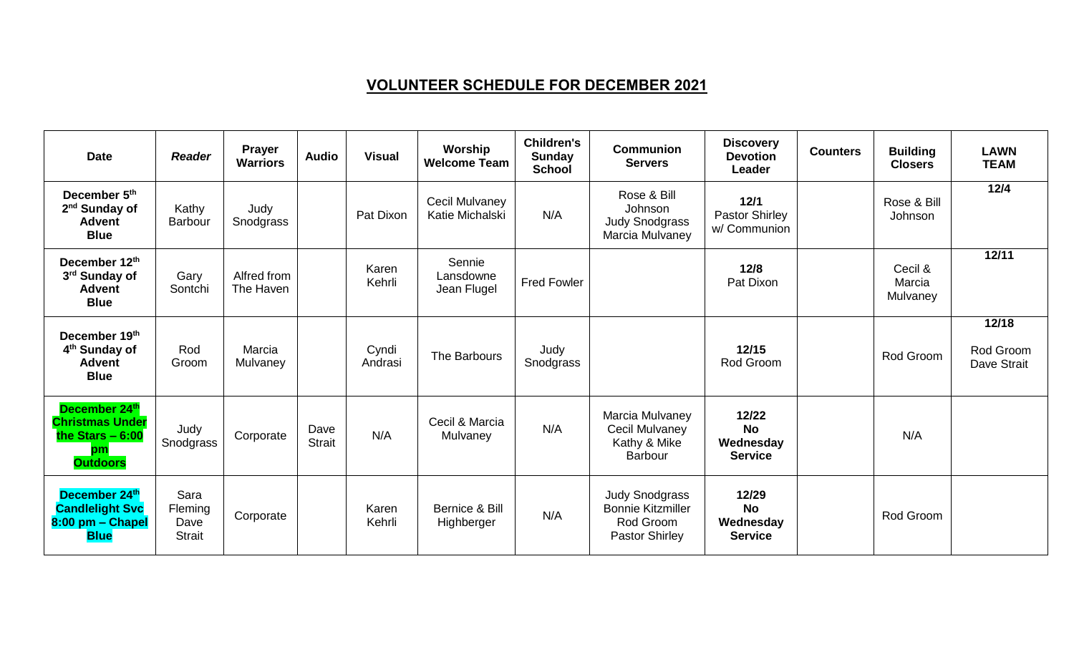### **VOLUNTEER SCHEDULE FOR DECEMBER 2021**

| <b>Date</b>                                                                           | <b>Reader</b>                            | <b>Prayer</b><br><b>Warriors</b> | <b>Audio</b>          | <b>Visual</b>    | Worship<br><b>Welcome Team</b>          | <b>Children's</b><br>Sunday<br><b>School</b> | <b>Communion</b><br><b>Servers</b>                                                      | <b>Discovery</b><br><b>Devotion</b><br>Leader     | <b>Counters</b> | <b>Building</b><br><b>Closers</b> | <b>LAWN</b><br><b>TEAM</b>        |
|---------------------------------------------------------------------------------------|------------------------------------------|----------------------------------|-----------------------|------------------|-----------------------------------------|----------------------------------------------|-----------------------------------------------------------------------------------------|---------------------------------------------------|-----------------|-----------------------------------|-----------------------------------|
| December 5th<br>2 <sup>nd</sup> Sunday of<br><b>Advent</b><br><b>Blue</b>             | Kathy<br><b>Barbour</b>                  | Judy<br>Snodgrass                |                       | Pat Dixon        | Cecil Mulvaney<br>Katie Michalski       | N/A                                          | Rose & Bill<br>Johnson<br><b>Judy Snodgrass</b><br>Marcia Mulvaney                      | 12/1<br>Pastor Shirley<br>w/ Communion            |                 | Rose & Bill<br>Johnson            | $12/4$                            |
| December 12th<br>3rd Sunday of<br><b>Advent</b><br><b>Blue</b>                        | Gary<br>Sontchi                          | Alfred from<br>The Haven         |                       | Karen<br>Kehrli  | Sennie<br>Lansdowne<br>Jean Flugel      | <b>Fred Fowler</b>                           |                                                                                         | 12/8<br>Pat Dixon                                 |                 | Cecil &<br>Marcia<br>Mulvaney     | 12/11                             |
| December 19th<br>4 <sup>th</sup> Sunday of<br><b>Advent</b><br><b>Blue</b>            | Rod<br>Groom                             | Marcia<br>Mulvaney               |                       | Cyndi<br>Andrasi | The Barbours                            | Judy<br>Snodgrass                            |                                                                                         | 12/15<br>Rod Groom                                |                 | Rod Groom                         | 12/18<br>Rod Groom<br>Dave Strait |
| December 24th<br><b>Christmas Under</b><br>the Stars $-6:00$<br>pm<br><b>Outdoors</b> | Judy<br>Snodgrass                        | Corporate                        | Dave<br><b>Strait</b> | N/A              | Cecil & Marcia<br>Mulvaney              | N/A                                          | Marcia Mulvaney<br>Cecil Mulvaney<br>Kathy & Mike<br>Barbour                            | 12/22<br><b>No</b><br>Wednesday<br><b>Service</b> |                 | N/A                               |                                   |
| December 24th<br><b>Candlelight Svc</b><br>8:00 pm - Chapel<br><b>Blue</b>            | Sara<br>Fleming<br>Dave<br><b>Strait</b> | Corporate                        |                       | Karen<br>Kehrli  | <b>Bernice &amp; Bill</b><br>Highberger | N/A                                          | <b>Judy Snodgrass</b><br><b>Bonnie Kitzmiller</b><br>Rod Groom<br><b>Pastor Shirley</b> | 12/29<br><b>No</b><br>Wednesday<br><b>Service</b> |                 | Rod Groom                         |                                   |